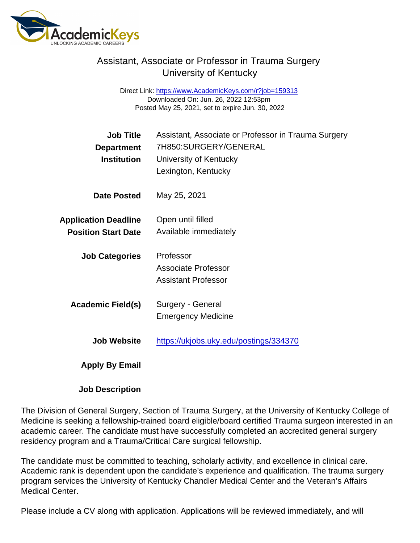## Assistant, Associate or Professor in Trauma Surgery University of Kentucky

Direct Link: <https://www.AcademicKeys.com/r?job=159313> Downloaded On: Jun. 26, 2022 12:53pm Posted May 25, 2021, set to expire Jun. 30, 2022

| Job Title                   | Assistant, Associate or Professor in Trauma Surgery |
|-----------------------------|-----------------------------------------------------|
| Department                  | 7H850:SURGERY/GENERAL                               |
| <b>Institution</b>          | University of Kentucky                              |
|                             | Lexington, Kentucky                                 |
| Date Posted                 | May 25, 2021                                        |
| <b>Application Deadline</b> | Open until filled                                   |
| <b>Position Start Date</b>  | Available immediately                               |
| <b>Job Categories</b>       | Professor                                           |
|                             | Associate Professor                                 |
|                             | <b>Assistant Professor</b>                          |
| Academic Field(s)           | Surgery - General                                   |
|                             | <b>Emergency Medicine</b>                           |
| Job Website                 | https://ukjobs.uky.edu/postings/334370              |
| Apply By Email              |                                                     |

Job Description

The Division of General Surgery, Section of Trauma Surgery, at the University of Kentucky College of Medicine is seeking a fellowship-trained board eligible/board certified Trauma surgeon interested in an academic career. The candidate must have successfully completed an accredited general surgery residency program and a Trauma/Critical Care surgical fellowship.

The candidate must be committed to teaching, scholarly activity, and excellence in clinical care. Academic rank is dependent upon the candidate's experience and qualification. The trauma surgery program services the University of Kentucky Chandler Medical Center and the Veteran's Affairs Medical Center.

Please include a CV along with application. Applications will be reviewed immediately, and will